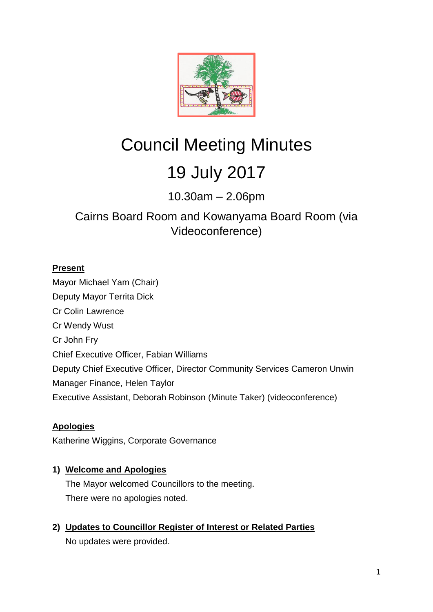

# Council Meeting Minutes 19 July 2017

10.30am – 2.06pm

## Cairns Board Room and Kowanyama Board Room (via Videoconference)

## **Present**

Mayor Michael Yam (Chair) Deputy Mayor Territa Dick Cr Colin Lawrence Cr Wendy Wust Cr John Fry Chief Executive Officer, Fabian Williams Deputy Chief Executive Officer, Director Community Services Cameron Unwin Manager Finance, Helen Taylor Executive Assistant, Deborah Robinson (Minute Taker) (videoconference)

## **Apologies**

Katherine Wiggins, Corporate Governance

## **1) Welcome and Apologies**

The Mayor welcomed Councillors to the meeting. There were no apologies noted.

## **2) Updates to Councillor Register of Interest or Related Parties**

No updates were provided.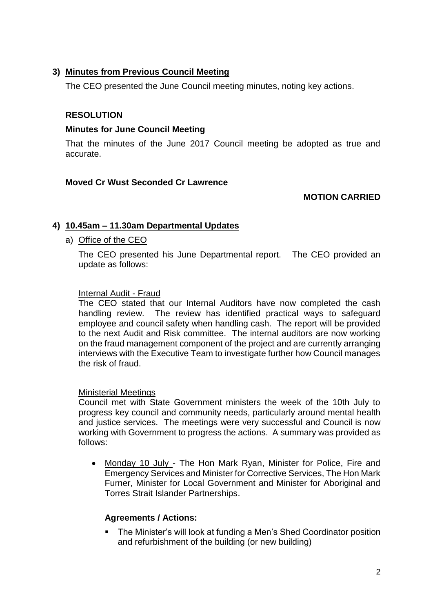#### **3) Minutes from Previous Council Meeting**

The CEO presented the June Council meeting minutes, noting key actions.

## **RESOLUTION**

#### **Minutes for June Council Meeting**

That the minutes of the June 2017 Council meeting be adopted as true and accurate.

#### **Moved Cr Wust Seconded Cr Lawrence**

#### **MOTION CARRIED**

#### **4) 10.45am – 11.30am Departmental Updates**

#### a) Office of the CEO

The CEO presented his June Departmental report. The CEO provided an update as follows:

#### Internal Audit - Fraud

The CEO stated that our Internal Auditors have now completed the cash handling review. The review has identified practical ways to safeguard employee and council safety when handling cash. The report will be provided to the next Audit and Risk committee. The internal auditors are now working on the fraud management component of the project and are currently arranging interviews with the Executive Team to investigate further how Council manages the risk of fraud.

#### Ministerial Meetings

Council met with State Government ministers the week of the 10th July to progress key council and community needs, particularly around mental health and justice services. The meetings were very successful and Council is now working with Government to progress the actions. A summary was provided as follows:

 Monday 10 July - The Hon Mark Ryan, Minister for Police, Fire and Emergency Services and Minister for Corrective Services, The Hon Mark Furner, Minister for Local Government and Minister for Aboriginal and Torres Strait Islander Partnerships.

#### **Agreements / Actions:**

 The Minister's will look at funding a Men's Shed Coordinator position and refurbishment of the building (or new building)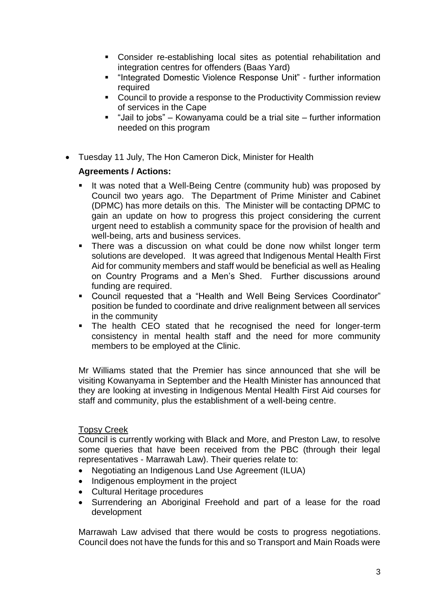- Consider re-establishing local sites as potential rehabilitation and integration centres for offenders (Baas Yard)
- "Integrated Domestic Violence Response Unit" further information required
- Council to provide a response to the Productivity Commission review of services in the Cape
- $\blacksquare$  "Jail to jobs" Kowanyama could be a trial site further information needed on this program
- Tuesday 11 July, The Hon Cameron Dick, Minister for Health

#### **Agreements / Actions:**

- It was noted that a Well-Being Centre (community hub) was proposed by Council two years ago. The Department of Prime Minister and Cabinet (DPMC) has more details on this. The Minister will be contacting DPMC to gain an update on how to progress this project considering the current urgent need to establish a community space for the provision of health and well-being, arts and business services.
- There was a discussion on what could be done now whilst longer term solutions are developed. It was agreed that Indigenous Mental Health First Aid for community members and staff would be beneficial as well as Healing on Country Programs and a Men's Shed. Further discussions around funding are required.
- Council requested that a "Health and Well Being Services Coordinator" position be funded to coordinate and drive realignment between all services in the community
- The health CEO stated that he recognised the need for longer-term consistency in mental health staff and the need for more community members to be employed at the Clinic.

Mr Williams stated that the Premier has since announced that she will be visiting Kowanyama in September and the Health Minister has announced that they are looking at investing in Indigenous Mental Health First Aid courses for staff and community, plus the establishment of a well-being centre.

#### Topsy Creek

Council is currently working with Black and More, and Preston Law, to resolve some queries that have been received from the PBC (through their legal representatives - Marrawah Law). Their queries relate to:

- Negotiating an Indigenous Land Use Agreement (ILUA)
- Indigenous employment in the project
- Cultural Heritage procedures
- Surrendering an Aboriginal Freehold and part of a lease for the road development

Marrawah Law advised that there would be costs to progress negotiations. Council does not have the funds for this and so Transport and Main Roads were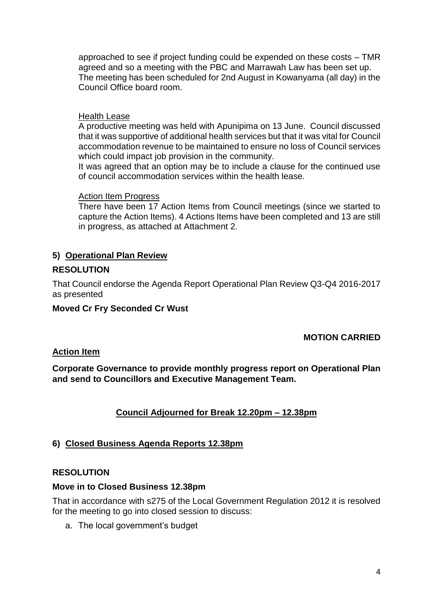approached to see if project funding could be expended on these costs – TMR agreed and so a meeting with the PBC and Marrawah Law has been set up. The meeting has been scheduled for 2nd August in Kowanyama (all day) in the Council Office board room.

#### Health Lease

A productive meeting was held with Apunipima on 13 June. Council discussed that it was supportive of additional health services but that it was vital for Council accommodation revenue to be maintained to ensure no loss of Council services which could impact job provision in the community.

It was agreed that an option may be to include a clause for the continued use of council accommodation services within the health lease.

#### Action Item Progress

There have been 17 Action Items from Council meetings (since we started to capture the Action Items). 4 Actions Items have been completed and 13 are still in progress, as attached at Attachment 2.

#### **5) Operational Plan Review**

#### **RESOLUTION**

That Council endorse the Agenda Report Operational Plan Review Q3-Q4 2016-2017 as presented

#### **Moved Cr Fry Seconded Cr Wust**

#### **MOTION CARRIED**

#### **Action Item**

**Corporate Governance to provide monthly progress report on Operational Plan and send to Councillors and Executive Management Team.**

#### **Council Adjourned for Break 12.20pm – 12.38pm**

#### **6) Closed Business Agenda Reports 12.38pm**

#### **RESOLUTION**

#### **Move in to Closed Business 12.38pm**

That in accordance with s275 of the Local Government Regulation 2012 it is resolved for the meeting to go into closed session to discuss:

a. The local government's budget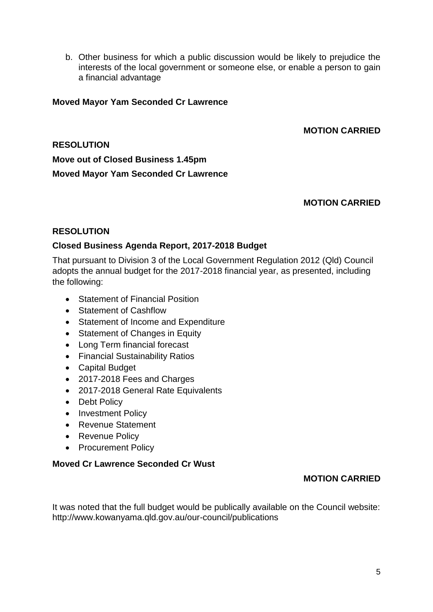b. Other business for which a public discussion would be likely to prejudice the interests of the local government or someone else, or enable a person to gain a financial advantage

#### **Moved Mayor Yam Seconded Cr Lawrence**

#### **MOTION CARRIED**

## **RESOLUTION Move out of Closed Business 1.45pm Moved Mayor Yam Seconded Cr Lawrence**

#### **MOTION CARRIED**

#### **RESOLUTION**

#### **Closed Business Agenda Report, 2017-2018 Budget**

That pursuant to Division 3 of the Local Government Regulation 2012 (Qld) Council adopts the annual budget for the 2017-2018 financial year, as presented, including the following:

- Statement of Financial Position
- Statement of Cashflow
- Statement of Income and Expenditure
- Statement of Changes in Equity
- Long Term financial forecast
- Financial Sustainability Ratios
- Capital Budget
- 2017-2018 Fees and Charges
- 2017-2018 General Rate Equivalents
- Debt Policy
- Investment Policy
- Revenue Statement
- Revenue Policy
- Procurement Policy

#### **Moved Cr Lawrence Seconded Cr Wust**

#### **MOTION CARRIED**

It was noted that the full budget would be publically available on the Council website: http://www.kowanyama.qld.gov.au/our-council/publications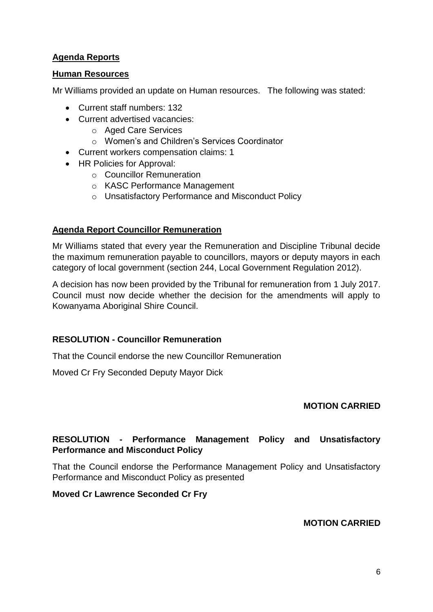## **Agenda Reports**

#### **Human Resources**

Mr Williams provided an update on Human resources. The following was stated:

- Current staff numbers: 132
- Current advertised vacancies:
	- o Aged Care Services
	- o Women's and Children's Services Coordinator
- Current workers compensation claims: 1
- HR Policies for Approval:
	- o Councillor Remuneration
	- o KASC Performance Management
	- o Unsatisfactory Performance and Misconduct Policy

#### **Agenda Report Councillor Remuneration**

Mr Williams stated that every year the Remuneration and Discipline Tribunal decide the maximum remuneration payable to councillors, mayors or deputy mayors in each category of local government (section 244, Local Government Regulation 2012).

A decision has now been provided by the Tribunal for remuneration from 1 July 2017. Council must now decide whether the decision for the amendments will apply to Kowanyama Aboriginal Shire Council.

#### **RESOLUTION - Councillor Remuneration**

That the Council endorse the new Councillor Remuneration

Moved Cr Fry Seconded Deputy Mayor Dick

#### **MOTION CARRIED**

#### **RESOLUTION - Performance Management Policy and Unsatisfactory Performance and Misconduct Policy**

That the Council endorse the Performance Management Policy and Unsatisfactory Performance and Misconduct Policy as presented

#### **Moved Cr Lawrence Seconded Cr Fry**

#### **MOTION CARRIED**